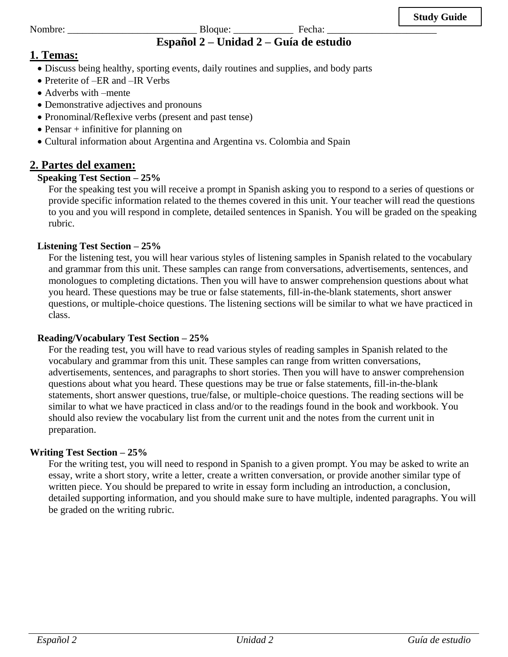### Nombre: \_\_\_\_\_\_\_\_\_\_\_\_\_\_\_\_\_\_\_\_\_\_\_\_\_\_ Bloque: \_\_\_\_\_\_\_\_\_\_\_\_ Fecha: \_\_\_\_\_\_\_\_\_\_\_\_\_\_\_\_\_\_\_\_\_\_ **Español 2 – Unidad 2 – Guía de estudio**

# **1. Temas:**

- Discuss being healthy, sporting events, daily routines and supplies, and body parts
- Preterite of –ER and –IR Verbs
- Adverbs with –mente
- Demonstrative adjectives and pronouns
- Pronominal/Reflexive verbs (present and past tense)
- Pensar  $+$  infinitive for planning on
- Cultural information about Argentina and Argentina vs. Colombia and Spain

# **2. Partes del examen:**

# **Speaking Test Section – 25%**

For the speaking test you will receive a prompt in Spanish asking you to respond to a series of questions or provide specific information related to the themes covered in this unit. Your teacher will read the questions to you and you will respond in complete, detailed sentences in Spanish. You will be graded on the speaking rubric.

# **Listening Test Section – 25%**

For the listening test, you will hear various styles of listening samples in Spanish related to the vocabulary and grammar from this unit. These samples can range from conversations, advertisements, sentences, and monologues to completing dictations. Then you will have to answer comprehension questions about what you heard. These questions may be true or false statements, fill-in-the-blank statements, short answer questions, or multiple-choice questions. The listening sections will be similar to what we have practiced in class.

## **Reading/Vocabulary Test Section – 25%**

For the reading test, you will have to read various styles of reading samples in Spanish related to the vocabulary and grammar from this unit. These samples can range from written conversations, advertisements, sentences, and paragraphs to short stories. Then you will have to answer comprehension questions about what you heard. These questions may be true or false statements, fill-in-the-blank statements, short answer questions, true/false, or multiple-choice questions. The reading sections will be similar to what we have practiced in class and/or to the readings found in the book and workbook. You should also review the vocabulary list from the current unit and the notes from the current unit in preparation.

## **Writing Test Section – 25%**

For the writing test, you will need to respond in Spanish to a given prompt. You may be asked to write an essay, write a short story, write a letter, create a written conversation, or provide another similar type of written piece. You should be prepared to write in essay form including an introduction, a conclusion, detailed supporting information, and you should make sure to have multiple, indented paragraphs. You will be graded on the writing rubric.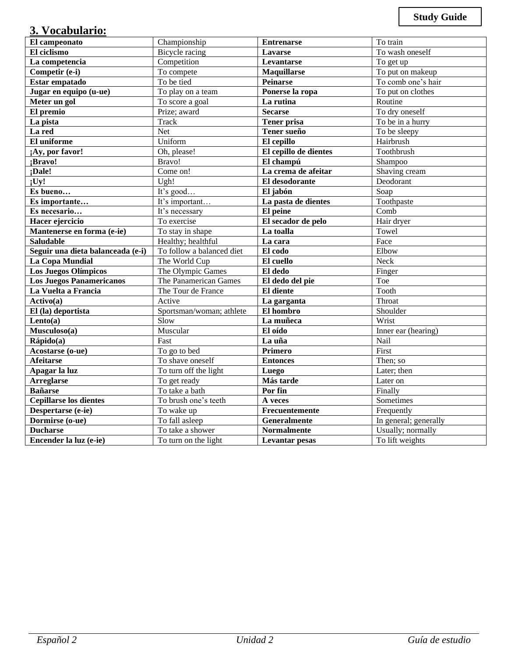# **3. Vocabulario:**

| El campeonato                     | Championship              | <b>Entrenarse</b>                     | To train              |
|-----------------------------------|---------------------------|---------------------------------------|-----------------------|
| El ciclismo                       | <b>Bicycle</b> racing     |                                       | To wash oneself       |
| La competencia                    | Competition               | Lavarse<br>Levantarse                 | To get up             |
| Competir (e-i)                    | To compete                |                                       | To put on makeup      |
| Estar empatado                    | To be tied                | <b>Maquillarse</b><br><b>Peinarse</b> | To comb one's hair    |
| Jugar en equipo (u-ue)            | To play on a team         | Ponerse la ropa                       | To put on clothes     |
| Meter un gol                      | To score a goal           | La rutina                             | Routine               |
| El premio                         | Prize; award              | <b>Secarse</b>                        | To dry oneself        |
| La pista                          | <b>Track</b>              | <b>Tener prisa</b>                    | To be in a hurry      |
| La red                            | Net                       | Tener sueño                           | To be sleepy          |
| El uniforme                       | Uniform                   | El cepillo                            | Hairbrush             |
| ;Ay, por favor!                   | Oh, please!               | El cepillo de dientes                 | Toothbrush            |
| ¡Bravo!                           | Bravo!                    | El champú                             | Shampoo               |
| ;Dale!                            | Come on!                  | La crema de afeitar                   | Shaving cream         |
| :Uy!                              | Ugh!                      | El desodorante                        | Deodorant             |
| Es bueno                          | It's good                 | El jabón                              | Soap                  |
| Es importante                     | It's important            | La pasta de dientes                   | Toothpaste            |
| Es necesario                      | It's necessary            | El peine                              | Comb                  |
| Hacer ejercicio                   | To exercise               | El secador de pelo                    | Hair dryer            |
| Mantenerse en forma (e-ie)        | To stay in shape          | La toalla                             | Towel                 |
| <b>Saludable</b>                  | Healthy; healthful        | La cara                               | Face                  |
| Seguir una dieta balanceada (e-i) | To follow a balanced diet | El codo                               | Elbow                 |
| <b>La Copa Mundial</b>            | The World Cup             | El cuello                             | Neck                  |
| <b>Los Juegos Olímpicos</b>       | The Olympic Games         | El dedo                               | Finger                |
| <b>Los Juegos Panamericanos</b>   | The Panamerican Games     | El dedo del pie                       | Toe                   |
| La Vuelta a Francia               | The Tour de France        | El diente                             | Tooth                 |
| Action(a)                         | Active                    | La garganta                           | Throat                |
| El (la) deportista                | Sportsman/woman; athlete  | El hombro                             | Shoulder              |
| Lento(a)                          | Slow                      | La muñeca                             | Wrist                 |
| Musculoso(a)                      | Muscular                  | El oído                               | Inner ear (hearing)   |
| Rápido(a)                         | Fast                      | La uña                                | Nail                  |
| Acostarse (o-ue)                  | To go to bed              | Primero                               | First                 |
| <b>Afeitarse</b>                  | To shave oneself          | <b>Entonces</b>                       | Then; so              |
| Apagar la luz                     | To turn off the light     | Luego                                 | Later; then           |
| <b>Arreglarse</b>                 | To get ready              | Más tarde                             | Later on              |
| <b>Bañarse</b>                    | To take a bath            | Por fin                               | Finally               |
| <b>Cepillarse los dientes</b>     | To brush one's teeth      | A veces                               | Sometimes             |
| Despertarse (e-ie)                | To wake up                | Frecuentemente                        | Frequently            |
| Dormirse (o-ue)                   | To fall asleep            | <b>Generalmente</b>                   | In general; generally |
| <b>Ducharse</b>                   | To take a shower          | <b>Normalmente</b>                    | Usually; normally     |
| Encender la luz (e-ie)            | To turn on the light      | <b>Levantar pesas</b>                 | To lift weights       |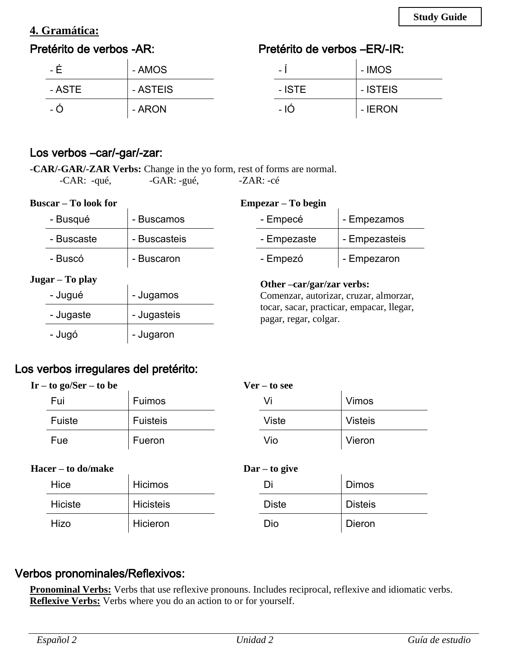# **4. Gramática:**

# Pretérito de verbos -AR:

# Pretérito de verbos –ER/-IR:

| - H    | - AMOS   | $\overline{\phantom{0}}$ | - IMOS   |
|--------|----------|--------------------------|----------|
| - ASTE | - ASTEIS | - ISTE                   | - ISTEIS |
| - O    | - ARON   | - 10                     | - IERON  |

# Los verbos –car/-gar/-zar:

**-CAR/-GAR/-ZAR Verbs:** Change in the yo form, rest of forms are normal. -CAR: -qué, -GAR: -gué, -ZAR: -cé

| <b>Buscar</b> – To look for |  |  |  |
|-----------------------------|--|--|--|
|-----------------------------|--|--|--|

### **Empezar – To begin**

| - Busqué        | - Buscamos   | - Empecé                                                            | - Empezamos   |
|-----------------|--------------|---------------------------------------------------------------------|---------------|
| - Buscaste      | - Buscasteis | - Empezaste                                                         | - Empezasteis |
| - Buscó         | - Buscaron   | - Empezó                                                            | - Empezaron   |
| Jugar – To play |              |                                                                     |               |
|                 |              |                                                                     |               |
| - Jugué         | - Jugamos    | Other –car/gar/zar verbs:<br>Comenzar, autorizar, cruzar, almorzar, |               |
| - Jugaste       | - Jugasteis  | tocar, sacar, practicar, empacar, llegar,<br>pagar, regar, colgar.  |               |

# Los verbos irregulares del pretérito:

| $Ir - to go/Ser - to be$ |        |                 | $Ver - to see$ |       |                |
|--------------------------|--------|-----------------|----------------|-------|----------------|
|                          | Fui    | Fuimos          |                |       | <b>Vimos</b>   |
|                          | Fuiste | <b>Fuisteis</b> |                | Viste | <b>Visteis</b> |
|                          | Fue    | Fueron          |                | Vio   | Vieron         |

### **Hacer – to do/make**

| acer – to do/make |         | $\text{Dar} - \text{to give}$ |  |              |  |                |  |
|-------------------|---------|-------------------------------|--|--------------|--|----------------|--|
|                   | Hice    | <b>Hicimos</b>                |  | Di           |  | <b>Dimos</b>   |  |
|                   | Hiciste | <b>Hicisteis</b>              |  | <b>Diste</b> |  | <b>Disteis</b> |  |
|                   | Hizo    | Hicieron                      |  | Dio          |  | Dieron         |  |

# Verbos pronominales/Reflexivos:

**Pronominal Verbs:** Verbs that use reflexive pronouns. Includes reciprocal, reflexive and idiomatic verbs. **Reflexive Verbs:** Verbs where you do an action to or for yourself.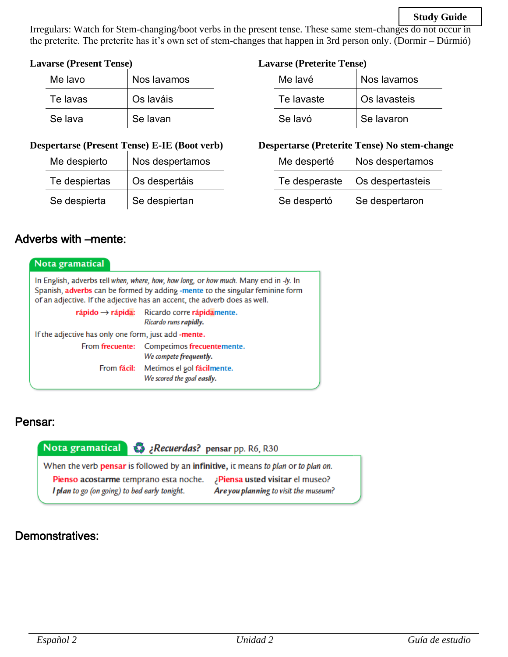### **Study Guide**

Irregulars: Watch for Stem-changing/boot verbs in the present tense. These same stem-changes do not occur in the preterite. The preterite has it's own set of stem-changes that happen in 3rd person only. (Dormir – Dúrmió)

#### **Lavarse (Present Tense)**

| Me lavo  | Nos lavamos |
|----------|-------------|
| Te lavas | Os laváis   |
| Se lava  | Se lavan    |

### **Lavarse (Preterite Tense)**

| Me lavé    | Nos lavamos  |  |
|------------|--------------|--|
| Te lavaste | Os lavasteis |  |
| Se lavó    | Se lavaron   |  |

#### **Despertarse (Present Tense) E-IE (Boot verb)**

| Me despierto  | Nos despertamos |  |  |
|---------------|-----------------|--|--|
| Te despiertas | Os despertáis   |  |  |
| Se despierta  | Se despiertan   |  |  |

### **Despertarse (Preterite Tense) No stem-change**

| Me desperté   | Nos despertamos  |  |  |
|---------------|------------------|--|--|
| Te desperaste | Os despertasteis |  |  |
| Se despertó   | Se despertaron   |  |  |

# Adverbs with –mente:

| Nota gramatical                                                                                                                                                                                                                                     |                                                                                                                            |  |  |  |  |
|-----------------------------------------------------------------------------------------------------------------------------------------------------------------------------------------------------------------------------------------------------|----------------------------------------------------------------------------------------------------------------------------|--|--|--|--|
| In English, adverbs tell when, where, how, how long, or how much. Many end in -ly. In<br>Spanish, adverbs can be formed by adding -mente to the singular feminine form<br>of an adjective. If the adjective has an accent, the adverb does as well. |                                                                                                                            |  |  |  |  |
|                                                                                                                                                                                                                                                     | $\mathsf{r}\mathsf{a}$ pido $\rightarrow$ $\mathsf{r}\mathsf{a}$ pida: Ricardo corre rápidamente.<br>Ricardo runs rapidly. |  |  |  |  |
| If the adjective has only one form, just add -mente.                                                                                                                                                                                                |                                                                                                                            |  |  |  |  |
|                                                                                                                                                                                                                                                     | From frecuente: Competimos frecuentemente.<br>We compete frequently.                                                       |  |  |  |  |
|                                                                                                                                                                                                                                                     | From fácil: Metimos el gol fácilmente.<br>We scored the goal easily.                                                       |  |  |  |  |

## Pensar:

Recuerdas? pensar pp. R6, R30 ¿Recuerdas? pensar pp. R6, R30 When the verb pensar is followed by an infinitive, it means to plan or to plan on. Pienso acostarme temprano esta noche. ¿Piensa usted visitar el museo? I plan to go (on going) to bed early tonight. Are you planning to visit the museum?

# Demonstratives: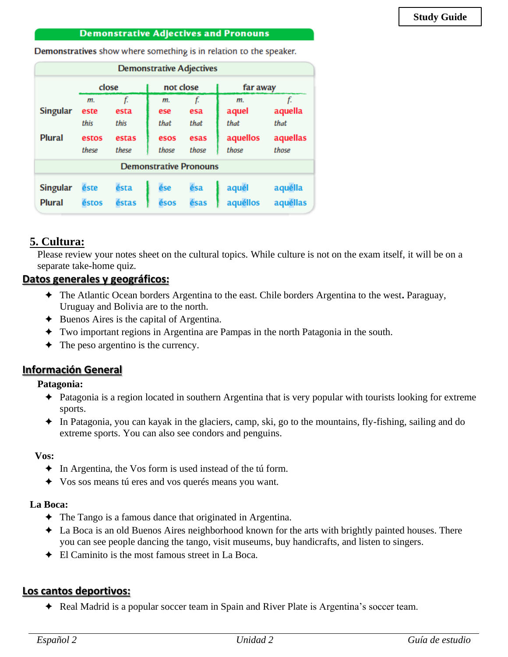#### **Demonstrative Adjectives and Pronouns**

Demonstratives show where something is in relation to the speaker.

| <b>Demonstrative Adjectives</b>                                                                                                              |                               |                    |                   |                   |                     |                       |
|----------------------------------------------------------------------------------------------------------------------------------------------|-------------------------------|--------------------|-------------------|-------------------|---------------------|-----------------------|
| not close<br>close<br>far away                                                                                                               |                               |                    |                   |                   |                     |                       |
| <b>Singular</b>                                                                                                                              | m.<br>este<br>this            | f.<br>esta<br>this | m.<br>ese<br>that | f.<br>esa<br>that | m.<br>aquel<br>that | f.<br>aquella<br>that |
| <b>Plural</b>                                                                                                                                | estos<br>these                | estas<br>these     | esos<br>those     | esas<br>those     | aquellos<br>those   | aquellas<br>those     |
|                                                                                                                                              | <b>Demonstrative Pronouns</b> |                    |                   |                   |                     |                       |
| ésa<br>aquél<br>aquélla<br><b>Singular</b><br>ésta<br>ése<br>éste<br>aquéllas<br>aquéllos<br><b>Plural</b><br>éstos<br>ésos<br>ésas<br>éstas |                               |                    |                   |                   |                     |                       |

### **5. Cultura:**

Please review your notes sheet on the cultural topics. While culture is not on the exam itself, it will be on a separate take-home quiz.

### **Datos generales y geográficos:**

- ✦ The Atlantic Ocean borders Argentina to the east. Chile borders Argentina to the west**.** Paraguay, Uruguay and Bolivia are to the north.
- $\triangle$  Buenos Aires is the capital of Argentina.
- ✦ Two important regions in Argentina are Pampas in the north Patagonia in the south.
- $\triangleleft$  The peso argentino is the currency.

## **Información General**

#### **Patagonia:**

- ✦ Patagonia is a region located in southern Argentina that is very popular with tourists looking for extreme sports.
- ✦ In Patagonia, you can kayak in the glaciers, camp, ski, go to the mountains, fly-fishing, sailing and do extreme sports. You can also see condors and penguins.

#### **Vos:**

- ✦ In Argentina, the Vos form is used instead of the tú form.
- ✦ Vos sos means tú eres and vos querés means you want.

#### **La Boca:**

- ✦ The Tango is a famous dance that originated in Argentina.
- ✦ La Boca is an old Buenos Aires neighborhood known for the arts with brightly painted houses. There you can see people dancing the tango, visit museums, buy handicrafts, and listen to singers.
- $\triangle$  El Caminito is the most famous street in La Boca.

### **Los cantos deportivos:**

✦ Real Madrid is a popular soccer team in Spain and River Plate is Argentina's soccer team.